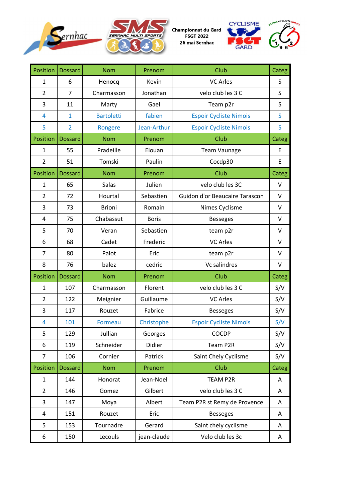



Championnat du Gard<br>FSGT 2022 26 mai Sernhac



| Position       | <b>Dossard</b> | <b>Nom</b>        | Prenom       | Club                           | Categ   |
|----------------|----------------|-------------------|--------------|--------------------------------|---------|
| $\mathbf{1}$   | 6              | Henocq            | Kevin        | <b>VC Arles</b>                | S       |
| $\overline{2}$ | $\overline{7}$ | Charmasson        | Jonathan     | velo club les 3 C              | S       |
| 3              | 11             | Marty             | Gael         | Team p2r                       | S       |
| 4              | $\mathbf{1}$   | <b>Bartoletti</b> | fabien       | <b>Espoir Cycliste Nimois</b>  | S       |
| 5              | $\overline{2}$ | Rongere           | Jean-Arthur  | <b>Espoir Cycliste Nimois</b>  | S       |
| Position       | <b>Dossard</b> | <b>Nom</b>        | Prenom       | Club                           | Categ   |
| 1              | 55             | Pradeille         | Elouan       | <b>Team Vaunage</b>            | Ε       |
| $\overline{2}$ | 51             | Tomski            | Paulin       | Cocdp30                        | E       |
| Position       | <b>Dossard</b> | <b>Nom</b>        | Prenom       | Club                           | Categ   |
| $\mathbf{1}$   | 65             | Salas             | Julien       | velo club les 3C               | $\vee$  |
| $\overline{2}$ | 72             | Hourtal           | Sebastien    | Guidon d'or Beaucaire Tarascon | $\sf V$ |
| 3              | 73             | <b>Brioni</b>     | Romain       | Nimes Cyclisme                 | $\vee$  |
| 4              | 75             | Chabassut         | <b>Boris</b> | <b>Besseges</b>                | V       |
| 5              | 70             | Veran             | Sebastien    | team p2r                       | V       |
| 6              | 68             | Cadet             | Frederic     | <b>VC Arles</b>                | $\vee$  |
| 7              | 80             | Palot             | Eric         | team p2r                       | $\vee$  |
| 8              | 76             | balez             | cedric       | Vc salindres                   | $\vee$  |
| Position       | <b>Dossard</b> | <b>Nom</b>        | Prenom       | Club                           | Categ   |
| $\mathbf{1}$   | 107            | Charmasson        | Florent      | velo club les 3 C              | S/V     |
| $\overline{2}$ | 122            | Meignier          | Guillaume    | <b>VC Arles</b>                | S/V     |
| 3              | 117            | Rouzet            | Fabrice      | <b>Besseges</b>                | S/V     |
| 4              | 101            | Formeau           | Christophe   | <b>Espoir Cycliste Nimois</b>  | S/V     |
| 5              | 129            | Jullian           | Georges      | <b>COCDP</b>                   | S/V     |
| 6              | 119            | Schneider         | Didier       | Team P2R                       | S/V     |
| $\overline{7}$ | 106            | Cornier           | Patrick      | Saint Chely Cyclisme           | S/V     |
| Position       | <b>Dossard</b> | <b>Nom</b>        | Prenom       | Club                           | Categ   |
| $\mathbf{1}$   | 144            | Honorat           | Jean-Noel    | <b>TEAM P2R</b>                | A       |
| $\overline{2}$ | 146            | Gomez             | Gilbert      | velo club les 3 C              | A       |
| 3              | 147            | Moya              | Albert       | Team P2R st Remy de Provence   | Α       |
| $\pmb{4}$      | 151            | Rouzet            | Eric         | <b>Besseges</b>                | Α       |
| 5              | 153            | Tournadre         | Gerard       | Saint chely cyclisme           | A       |
| 6              | 150            | Lecouls           | jean-claude  | Velo club les 3c               | A       |